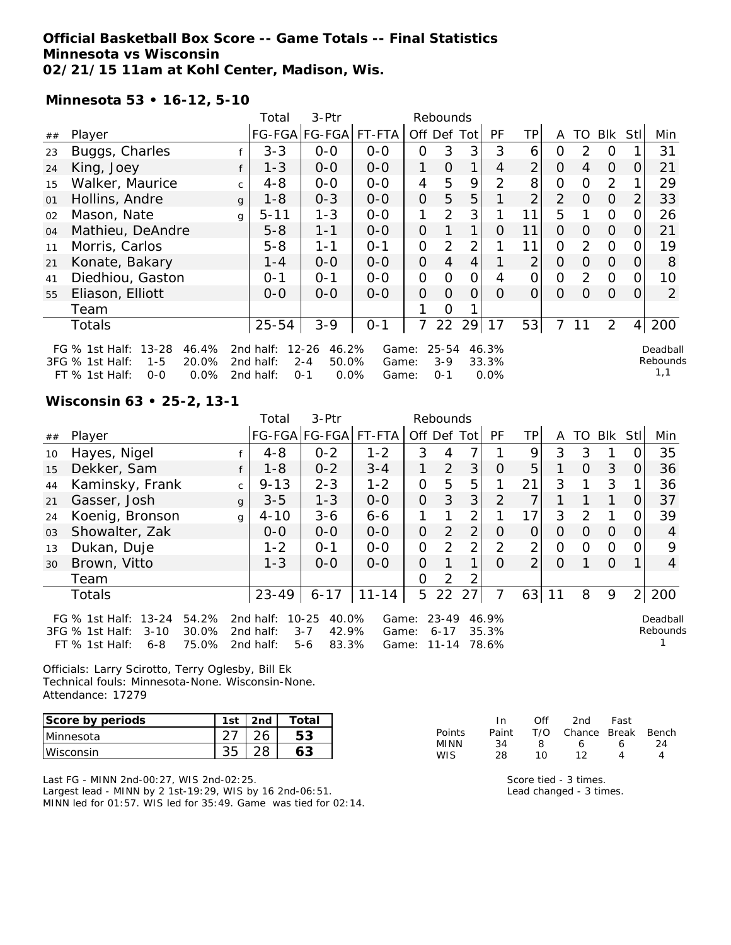### **Official Basketball Box Score -- Game Totals -- Final Statistics Minnesota vs Wisconsin 02/21/15 11am at Kohl Center, Madison, Wis.**

**Minnesota 53 • 16-12, 5-10**

|    |                                                                                                                      |              | Total                               | 3-Ptr                                                     |                         |                | Rebounds                      |             |                        |                |                |                |                |          |                             |
|----|----------------------------------------------------------------------------------------------------------------------|--------------|-------------------------------------|-----------------------------------------------------------|-------------------------|----------------|-------------------------------|-------------|------------------------|----------------|----------------|----------------|----------------|----------|-----------------------------|
| ## | Player                                                                                                               |              |                                     | FG-FGA FG-FGA                                             | FT-FTA                  |                |                               | Off Def Tot | PF                     | ΤP             | A              | TO.            | BIK            | Stl      | Min                         |
| 23 | Buggs, Charles                                                                                                       |              | $3 - 3$                             | $0 - 0$                                                   | $0 - 0$                 | 0              | 3                             | 3           | 3                      | 6              | 0              | $\mathcal{P}$  | $\Omega$       |          | 31                          |
| 24 | King, Joey                                                                                                           |              | $1 - 3$                             | $O-O$                                                     | $0 - 0$                 | 1              | 0                             |             | 4                      | $\overline{2}$ | 0              | 4              | $\overline{0}$ | O        | 21                          |
| 15 | Walker, Maurice                                                                                                      | $\mathsf{C}$ | $4 - 8$                             | $0 - 0$                                                   | $O-O$                   | 4              | 5                             | 9           | $\mathcal{P}$          | 8              | 0              | $\Omega$       | 2              |          | 29                          |
| 01 | Hollins, Andre                                                                                                       | $\mathbf{q}$ | $1 - 8$                             | $0 - 3$                                                   | $0 - 0$                 | $\Omega$       | 5                             | 5           |                        | $\overline{2}$ | $\overline{2}$ | $\Omega$       | $\overline{O}$ | 2        | 33                          |
| 02 | Mason, Nate                                                                                                          | g            | $5 - 11$                            | $1 - 3$                                                   | $0 - 0$                 | 1              | 2                             | 3           |                        | 11             | 5              |                | $\Omega$       |          | 26                          |
| 04 | Mathieu, DeAndre                                                                                                     |              | $5 - 8$                             | $1 - 1$                                                   | $0-0$                   | $\Omega$       |                               | 1           | 0                      | 11             | $\overline{O}$ | $\Omega$       | $\Omega$       | $\Omega$ | 21                          |
| 11 | Morris, Carlos                                                                                                       |              | $5 - 8$                             | 1-1                                                       | $0 - 1$                 | $\overline{O}$ | $\overline{2}$                | 2           |                        | 11             | 0              | $\overline{2}$ | $\overline{O}$ |          | 19                          |
| 21 | Konate, Bakary                                                                                                       |              | 1 - 4                               | $0-0$                                                     | $0-0$                   | $\overline{O}$ | 4                             | 4           |                        | $\overline{2}$ | $\Omega$       | $\Omega$       | $\overline{O}$ | O        | 8                           |
| 41 | Diedhiou, Gaston                                                                                                     |              | $0 - 1$                             | $0 - 1$                                                   | $0 - 0$                 | O              | 0                             | 0           | 4                      | $\overline{O}$ | $\Omega$       | 2              | $\Omega$       | 0        | 10                          |
| 55 | Eliason, Elliott                                                                                                     |              | $O-O$                               | $O-O$                                                     | $0 - 0$                 | $\overline{O}$ | $\Omega$                      | $\Omega$    | 0                      | 0              | $\Omega$       | O              | $\Omega$       | $\Omega$ | 2                           |
|    | Team                                                                                                                 |              |                                     |                                                           |                         |                | Ω                             |             |                        |                |                |                |                |          |                             |
|    | Totals                                                                                                               |              | $25 - 54$                           | $3 - 9$                                                   | $0 - 1$                 |                | 22                            | 29          | 17                     | 53             | $\overline{7}$ | 11             | $\overline{2}$ | $\vert$  | 200                         |
|    | FG $%$ 1st Half:<br>$13 - 28$<br>46.4%<br>3FG % 1st Half:<br>$1 - 5$<br>20.0%<br>0.0%<br>$FT$ % 1st Half:<br>$0 - 0$ |              | 2nd half:<br>2nd half:<br>2nd half: | $12 - 26$<br>46.2%<br>$2 - 4$<br>50.0%<br>$O - 1$<br>0.0% | Game:<br>Game:<br>Game: |                | $25 - 54$<br>$3-9$<br>$0 - 1$ |             | 46.3%<br>33.3%<br>0.0% |                |                |                |                |          | Deadball<br>Rebounds<br>1,1 |

#### **Wisconsin 63 • 25-2, 13-1**

|    |                                                                                                                       |              | Total                               | 3-Ptr                                                  |                         |                | Rebounds                           |                |                         |                |          |               |            |                |                      |
|----|-----------------------------------------------------------------------------------------------------------------------|--------------|-------------------------------------|--------------------------------------------------------|-------------------------|----------------|------------------------------------|----------------|-------------------------|----------------|----------|---------------|------------|----------------|----------------------|
| ## | Player                                                                                                                |              |                                     | FG-FGA FG-FGA                                          | FT-FTA                  |                |                                    | Off Def Tot    | <b>PF</b>               | <b>TP</b>      | A        | TO            | <b>BIK</b> | Stl            | Min                  |
| 10 | Hayes, Nigel                                                                                                          |              | $4 - 8$                             | $0 - 2$                                                | $1 - 2$                 | 3              | 4                                  | 7              |                         | 9              | 3        | 3             |            |                | 35                   |
| 15 | Dekker, Sam                                                                                                           |              | $1 - 8$                             | $0 - 2$                                                | $3 - 4$                 |                | 2                                  | 3              | $\Omega$                | 5              |          | $\Omega$      | 3          | 0              | 36                   |
| 44 | Kaminsky, Frank                                                                                                       | $\mathsf{C}$ | $9 - 13$                            | $2 - 3$                                                | $1 - 2$                 | $\Omega$       | 5                                  | 5              |                         | 21             | 3        |               | 3          |                | 36                   |
| 21 | Gasser, Josh                                                                                                          | $\mathbf{q}$ | $3 - 5$                             | $1 - 3$                                                | $0-0$                   | $\overline{O}$ | 3                                  | 3              | 2                       | 7              |          |               |            | 0              | 37                   |
| 24 | Koenig, Bronson                                                                                                       | g            | $4 - 10$                            | $3 - 6$                                                | $6 - 6$                 |                |                                    | $\overline{2}$ |                         | 17             | 3        | $\mathcal{D}$ |            |                | 39                   |
| 03 | Showalter, Zak                                                                                                        |              | $0 - 0$                             | $0 - 0$                                                | $0 - 0$                 | 0              | 2                                  | $\overline{2}$ | O                       | Ο              | Ο        | 0             | $\Omega$   | 0              | 4                    |
| 13 | Dukan, Duje                                                                                                           |              | $1 - 2$                             | $O - 1$                                                | $0-0$                   | $\mathcal{O}$  | $\mathcal{P}$                      | $\overline{2}$ | $\mathfrak{D}$          | 2              | Ω        | 0             | $\Omega$   | $\mathcal{L}$  | 9                    |
| 30 | Brown, Vitto                                                                                                          |              | $1 - 3$                             | $0-0$                                                  | $0-0$                   | 0              |                                    |                | O                       | $\overline{2}$ | $\Omega$ |               | $\Omega$   |                | 4                    |
|    | Team                                                                                                                  |              |                                     |                                                        |                         | $\Omega$       | $\mathcal{D}$                      | 2              |                         |                |          |               |            |                |                      |
|    | Totals                                                                                                                |              | $23 - 49$                           | $6 - 17$                                               | $11 - 14$               | 5              |                                    | 22 27          |                         | $63$   11      |          | 8             | 9          | $\overline{2}$ | 200                  |
|    | $13 - 24$<br>FG $\%$ 1st Half:<br>54.2%<br>3FG % 1st Half:<br>30.0%<br>$3 - 10$<br>75.0%<br>FT % 1st Half:<br>$6 - 8$ |              | 2nd half:<br>2nd half:<br>2nd half: | 10-25<br>40.0%<br>42.9%<br>$3 - 7$<br>83.3%<br>$5 - 6$ | Game:<br>Game:<br>Game: |                | $23 - 49$<br>$6 - 17$<br>$11 - 14$ |                | 46.9%<br>35.3%<br>78.6% |                |          |               |            |                | Deadball<br>Rebounds |

Officials: Larry Scirotto, Terry Oglesby, Bill Ek Technical fouls: Minnesota-None. Wisconsin-None. Attendance: 17279

| Score by periods | 1st | 2nd | Total |
|------------------|-----|-----|-------|
| Minnesota        |     |     |       |
| Wisconsin        |     |     |       |

Last FG - MINN 2nd-00:27, WIS 2nd-02:25. Largest lead - MINN by 2 1st-19:29, WIS by 16 2nd-06:51. MINN led for 01:57. WIS led for 35:49. Game was tied for 02:14.

|        | In    | Off | 2nd                    | Fast |    |
|--------|-------|-----|------------------------|------|----|
| Points | Paint |     | T/O Chance Break Bench |      |    |
| MINN   | 34    | я   | 6                      | Ь    | 24 |
| WIS.   | 28    | 1 N | 12                     | Δ    | Δ  |

Score tied - 3 times. Lead changed - 3 times.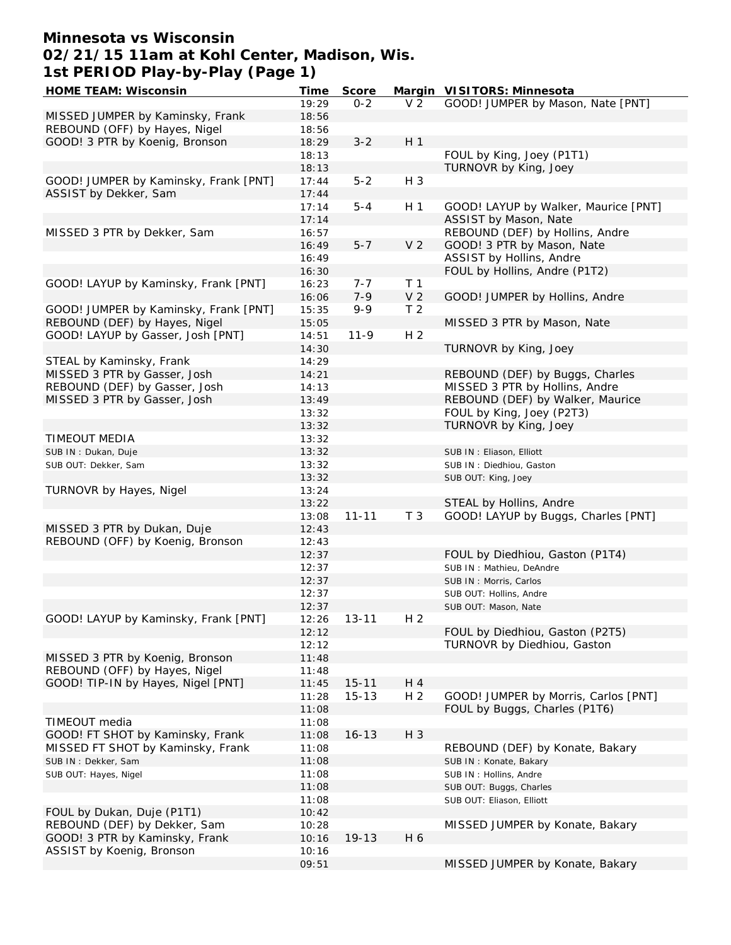## **Minnesota vs Wisconsin 02/21/15 11am at Kohl Center, Madison, Wis. 1st PERIOD Play-by-Play (Page 1)**

| HOME TEAM: Wisconsin                  | Time  | Score     |                | Margin VISITORS: Minnesota           |
|---------------------------------------|-------|-----------|----------------|--------------------------------------|
|                                       | 19:29 | $0 - 2$   | V <sub>2</sub> | GOOD! JUMPER by Mason, Nate [PNT]    |
| MISSED JUMPER by Kaminsky, Frank      | 18:56 |           |                |                                      |
| REBOUND (OFF) by Hayes, Nigel         | 18:56 |           |                |                                      |
| GOOD! 3 PTR by Koenig, Bronson        | 18:29 | $3 - 2$   | H <sub>1</sub> |                                      |
|                                       | 18:13 |           |                | FOUL by King, Joey (P1T1)            |
|                                       | 18:13 |           |                | TURNOVR by King, Joey                |
|                                       |       |           |                |                                      |
| GOOD! JUMPER by Kaminsky, Frank [PNT] | 17:44 | $5 - 2$   | $H_3$          |                                      |
| ASSIST by Dekker, Sam                 | 17:44 |           |                |                                      |
|                                       | 17:14 | $5 - 4$   | H <sub>1</sub> | GOOD! LAYUP by Walker, Maurice [PNT] |
|                                       | 17:14 |           |                | ASSIST by Mason, Nate                |
| MISSED 3 PTR by Dekker, Sam           | 16:57 |           |                | REBOUND (DEF) by Hollins, Andre      |
|                                       | 16:49 | $5 - 7$   | V <sub>2</sub> | GOOD! 3 PTR by Mason, Nate           |
|                                       | 16:49 |           |                | ASSIST by Hollins, Andre             |
|                                       | 16:30 |           |                | FOUL by Hollins, Andre (P1T2)        |
| GOOD! LAYUP by Kaminsky, Frank [PNT]  | 16:23 | $7 - 7$   | T <sub>1</sub> |                                      |
|                                       | 16:06 | $7 - 9$   | V <sub>2</sub> | GOOD! JUMPER by Hollins, Andre       |
| GOOD! JUMPER by Kaminsky, Frank [PNT] | 15:35 | $9 - 9$   | T <sub>2</sub> |                                      |
| REBOUND (DEF) by Hayes, Nigel         | 15:05 |           |                | MISSED 3 PTR by Mason, Nate          |
| GOOD! LAYUP by Gasser, Josh [PNT]     | 14:51 | $11 - 9$  | H <sub>2</sub> |                                      |
|                                       |       |           |                |                                      |
|                                       | 14:30 |           |                | TURNOVR by King, Joey                |
| STEAL by Kaminsky, Frank              | 14:29 |           |                |                                      |
| MISSED 3 PTR by Gasser, Josh          | 14:21 |           |                | REBOUND (DEF) by Buggs, Charles      |
| REBOUND (DEF) by Gasser, Josh         | 14:13 |           |                | MISSED 3 PTR by Hollins, Andre       |
| MISSED 3 PTR by Gasser, Josh          | 13:49 |           |                | REBOUND (DEF) by Walker, Maurice     |
|                                       | 13:32 |           |                | FOUL by King, Joey (P2T3)            |
|                                       | 13:32 |           |                | TURNOVR by King, Joey                |
| TIMEOUT MEDIA                         | 13:32 |           |                |                                      |
| SUB IN: Dukan, Duje                   | 13:32 |           |                | SUB IN: Eliason, Elliott             |
| SUB OUT: Dekker, Sam                  | 13:32 |           |                | SUB IN: Diedhiou, Gaston             |
|                                       | 13:32 |           |                | SUB OUT: King, Joey                  |
| TURNOVR by Hayes, Nigel               | 13:24 |           |                |                                      |
|                                       |       |           |                |                                      |
|                                       | 13:22 |           |                | STEAL by Hollins, Andre              |
|                                       | 13:08 | $11 - 11$ | T <sub>3</sub> | GOOD! LAYUP by Buggs, Charles [PNT]  |
| MISSED 3 PTR by Dukan, Duje           | 12:43 |           |                |                                      |
| REBOUND (OFF) by Koenig, Bronson      | 12:43 |           |                |                                      |
|                                       | 12:37 |           |                | FOUL by Diedhiou, Gaston (P1T4)      |
|                                       | 12:37 |           |                | SUB IN: Mathieu, DeAndre             |
|                                       | 12:37 |           |                | SUB IN: Morris, Carlos               |
|                                       | 12:37 |           |                | SUB OUT: Hollins, Andre              |
|                                       | 12:37 |           |                | SUB OUT: Mason, Nate                 |
| GOOD! LAYUP by Kaminsky, Frank [PNT]  | 12:26 | $13 - 11$ | H <sub>2</sub> |                                      |
|                                       | 12:12 |           |                | FOUL by Diedhiou, Gaston (P2T5)      |
|                                       | 12:12 |           |                | TURNOVR by Diedhiou, Gaston          |
| MISSED 3 PTR by Koenig, Bronson       | 11:48 |           |                |                                      |
| REBOUND (OFF) by Hayes, Nigel         | 11:48 |           |                |                                      |
|                                       |       |           |                |                                      |
| GOOD! TIP-IN by Hayes, Nigel [PNT]    | 11:45 | $15 - 11$ | H 4            |                                      |
|                                       | 11:28 | $15 - 13$ | H <sub>2</sub> | GOOD! JUMPER by Morris, Carlos [PNT] |
|                                       | 11:08 |           |                | FOUL by Buggs, Charles (P1T6)        |
| TIMEOUT media                         | 11:08 |           |                |                                      |
| GOOD! FT SHOT by Kaminsky, Frank      | 11:08 | $16 - 13$ | $H_3$          |                                      |
| MISSED FT SHOT by Kaminsky, Frank     | 11:08 |           |                | REBOUND (DEF) by Konate, Bakary      |
| SUB IN: Dekker, Sam                   | 11:08 |           |                | SUB IN: Konate, Bakary               |
| SUB OUT: Hayes, Nigel                 | 11:08 |           |                | SUB IN: Hollins, Andre               |
|                                       | 11:08 |           |                | SUB OUT: Buggs, Charles              |
|                                       | 11:08 |           |                | SUB OUT: Eliason, Elliott            |
| FOUL by Dukan, Duje (P1T1)            | 10:42 |           |                |                                      |
| REBOUND (DEF) by Dekker, Sam          | 10:28 |           |                | MISSED JUMPER by Konate, Bakary      |
|                                       |       |           |                |                                      |
| GOOD! 3 PTR by Kaminsky, Frank        | 10:16 | $19 - 13$ | H 6            |                                      |
| ASSIST by Koenig, Bronson             | 10:16 |           |                |                                      |
|                                       | 09:51 |           |                | MISSED JUMPER by Konate, Bakary      |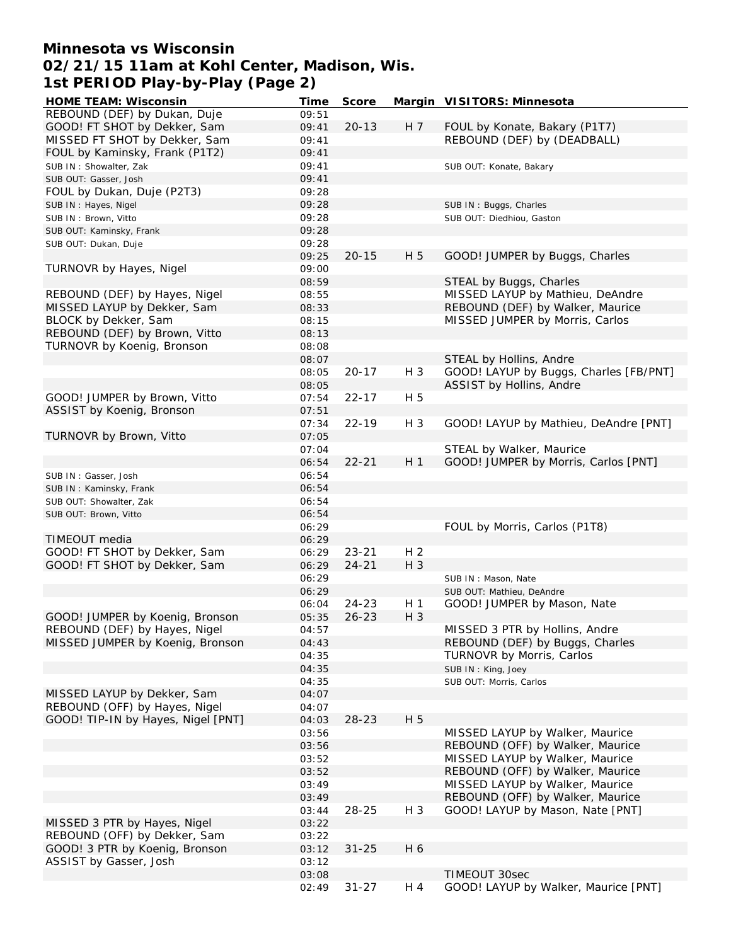# **Minnesota vs Wisconsin 02/21/15 11am at Kohl Center, Madison, Wis. 1st PERIOD Play-by-Play (Page 2)**

| <b>HOME TEAM: Wisconsin</b>        | Time  | Score     |                | Margin VISITORS: Minnesota             |
|------------------------------------|-------|-----------|----------------|----------------------------------------|
| REBOUND (DEF) by Dukan, Duje       | 09:51 |           |                |                                        |
| GOOD! FT SHOT by Dekker, Sam       | 09:41 | $20 - 13$ | H 7            | FOUL by Konate, Bakary (P1T7)          |
| MISSED FT SHOT by Dekker, Sam      | 09:41 |           |                | REBOUND (DEF) by (DEADBALL)            |
| FOUL by Kaminsky, Frank (P1T2)     | 09:41 |           |                |                                        |
| SUB IN: Showalter, Zak             | 09:41 |           |                | SUB OUT: Konate, Bakary                |
| SUB OUT: Gasser, Josh              | 09:41 |           |                |                                        |
| FOUL by Dukan, Duje (P2T3)         | 09:28 |           |                |                                        |
| SUB IN: Hayes, Nigel               | 09:28 |           |                | SUB IN: Buggs, Charles                 |
| SUB IN: Brown, Vitto               | 09:28 |           |                | SUB OUT: Diedhiou, Gaston              |
| SUB OUT: Kaminsky, Frank           | 09:28 |           |                |                                        |
| SUB OUT: Dukan, Duje               | 09:28 |           |                |                                        |
|                                    | 09:25 | $20 - 15$ | H 5            | GOOD! JUMPER by Buggs, Charles         |
| TURNOVR by Hayes, Nigel            | 09:00 |           |                |                                        |
|                                    | 08:59 |           |                | STEAL by Buggs, Charles                |
| REBOUND (DEF) by Hayes, Nigel      | 08:55 |           |                | MISSED LAYUP by Mathieu, DeAndre       |
| MISSED LAYUP by Dekker, Sam        | 08:33 |           |                | REBOUND (DEF) by Walker, Maurice       |
| BLOCK by Dekker, Sam               | 08:15 |           |                | MISSED JUMPER by Morris, Carlos        |
| REBOUND (DEF) by Brown, Vitto      | 08:13 |           |                |                                        |
| TURNOVR by Koenig, Bronson         | 08:08 |           |                |                                        |
|                                    | 08:07 |           |                | STEAL by Hollins, Andre                |
|                                    | 08:05 | $20 - 17$ | H 3            | GOOD! LAYUP by Buggs, Charles [FB/PNT] |
|                                    | 08:05 |           |                |                                        |
|                                    |       |           |                | ASSIST by Hollins, Andre               |
| GOOD! JUMPER by Brown, Vitto       | 07:54 | $22 - 17$ | H 5            |                                        |
| ASSIST by Koenig, Bronson          | 07:51 |           |                |                                        |
|                                    | 07:34 | $22 - 19$ | H 3            | GOOD! LAYUP by Mathieu, DeAndre [PNT]  |
| TURNOVR by Brown, Vitto            | 07:05 |           |                |                                        |
|                                    | 07:04 |           |                | STEAL by Walker, Maurice               |
|                                    | 06:54 | $22 - 21$ | H <sub>1</sub> | GOOD! JUMPER by Morris, Carlos [PNT]   |
| SUB IN: Gasser, Josh               | 06:54 |           |                |                                        |
| SUB IN: Kaminsky, Frank            | 06:54 |           |                |                                        |
| SUB OUT: Showalter, Zak            | 06:54 |           |                |                                        |
| SUB OUT: Brown, Vitto              | 06:54 |           |                |                                        |
|                                    | 06:29 |           |                | FOUL by Morris, Carlos (P1T8)          |
| TIMEOUT media                      | 06:29 |           |                |                                        |
| GOOD! FT SHOT by Dekker, Sam       | 06:29 | $23 - 21$ | H <sub>2</sub> |                                        |
| GOOD! FT SHOT by Dekker, Sam       | 06:29 | $24 - 21$ | $H_3$          |                                        |
|                                    | 06:29 |           |                | SUB IN: Mason, Nate                    |
|                                    | 06:29 |           |                | SUB OUT: Mathieu, DeAndre              |
|                                    | 06:04 | 24-23     | H <sub>1</sub> | GOOD! JUMPER by Mason, Nate            |
| GOOD! JUMPER by Koenig, Bronson    | 05:35 | $26 - 23$ | $H_3$          |                                        |
| REBOUND (DEF) by Hayes, Nigel      | 04:57 |           |                | MISSED 3 PTR by Hollins, Andre         |
| MISSED JUMPER by Koenig, Bronson   | 04:43 |           |                | REBOUND (DEF) by Buggs, Charles        |
|                                    | 04:35 |           |                | TURNOVR by Morris, Carlos              |
|                                    | 04:35 |           |                | SUB IN: King, Joey                     |
|                                    | 04:35 |           |                | SUB OUT: Morris, Carlos                |
| MISSED LAYUP by Dekker, Sam        | 04:07 |           |                |                                        |
| REBOUND (OFF) by Hayes, Nigel      | 04:07 |           |                |                                        |
| GOOD! TIP-IN by Hayes, Nigel [PNT] | 04:03 | $28 - 23$ | H 5            |                                        |
|                                    | 03:56 |           |                | MISSED LAYUP by Walker, Maurice        |
|                                    | 03:56 |           |                | REBOUND (OFF) by Walker, Maurice       |
|                                    | 03:52 |           |                | MISSED LAYUP by Walker, Maurice        |
|                                    | 03:52 |           |                | REBOUND (OFF) by Walker, Maurice       |
|                                    | 03:49 |           |                | MISSED LAYUP by Walker, Maurice        |
|                                    | 03:49 |           |                | REBOUND (OFF) by Walker, Maurice       |
|                                    | 03:44 | 28-25     | H 3            | GOOD! LAYUP by Mason, Nate [PNT]       |
| MISSED 3 PTR by Hayes, Nigel       | 03:22 |           |                |                                        |
| REBOUND (OFF) by Dekker, Sam       | 03:22 |           |                |                                        |
| GOOD! 3 PTR by Koenig, Bronson     | 03:12 | $31 - 25$ | H 6            |                                        |
| ASSIST by Gasser, Josh             | 03:12 |           |                |                                        |
|                                    | 03:08 |           |                | TIMEOUT 30sec                          |
|                                    | 02:49 | $31 - 27$ | H 4            | GOOD! LAYUP by Walker, Maurice [PNT]   |
|                                    |       |           |                |                                        |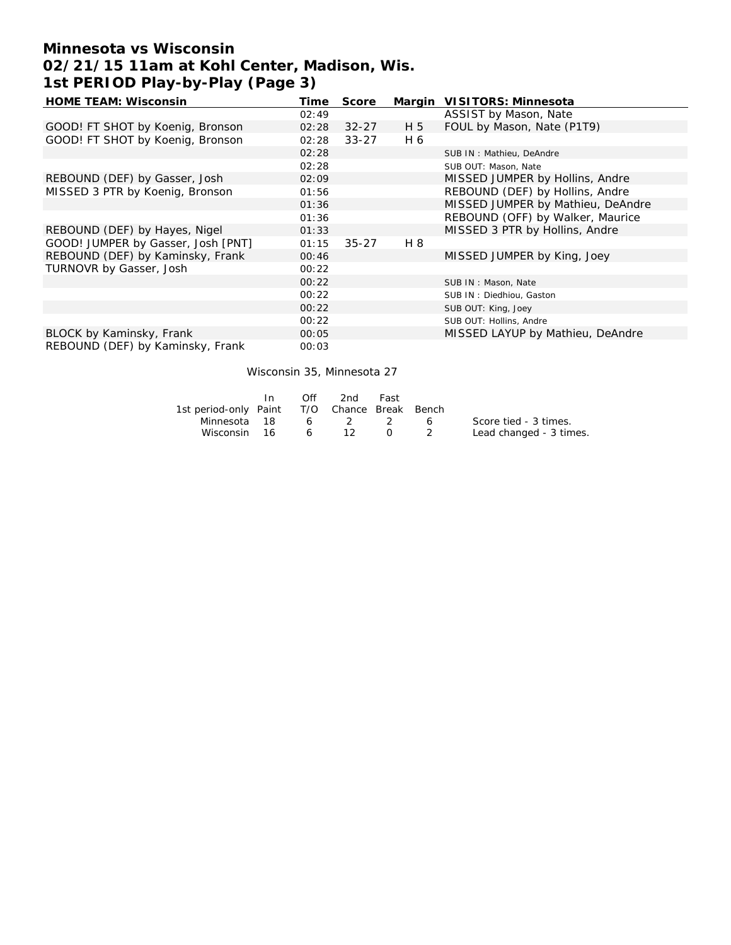# **Minnesota vs Wisconsin 02/21/15 11am at Kohl Center, Madison, Wis. 1st PERIOD Play-by-Play (Page 3)**

| <b>HOME TEAM: Wisconsin</b>        | Time  | Score     | Margin | VISITORS: Minnesota               |
|------------------------------------|-------|-----------|--------|-----------------------------------|
|                                    | 02:49 |           |        | ASSIST by Mason, Nate             |
| GOOD! FT SHOT by Koenig, Bronson   | 02:28 | $32 - 27$ | H 5    | FOUL by Mason, Nate (P1T9)        |
| GOOD! FT SHOT by Koenig, Bronson   | 02:28 | $33 - 27$ | H 6    |                                   |
|                                    | 02:28 |           |        | SUB IN: Mathieu, DeAndre          |
|                                    | 02:28 |           |        | SUB OUT: Mason, Nate              |
| REBOUND (DEF) by Gasser, Josh      | 02:09 |           |        | MISSED JUMPER by Hollins, Andre   |
| MISSED 3 PTR by Koenig, Bronson    | 01:56 |           |        | REBOUND (DEF) by Hollins, Andre   |
|                                    | 01:36 |           |        | MISSED JUMPER by Mathieu, DeAndre |
|                                    | 01:36 |           |        | REBOUND (OFF) by Walker, Maurice  |
| REBOUND (DEF) by Hayes, Nigel      | 01:33 |           |        | MISSED 3 PTR by Hollins, Andre    |
| GOOD! JUMPER by Gasser, Josh [PNT] | 01:15 | $35 - 27$ | H 8    |                                   |
| REBOUND (DEF) by Kaminsky, Frank   | 00:46 |           |        | MISSED JUMPER by King, Joey       |
| TURNOVR by Gasser, Josh            | 00:22 |           |        |                                   |
|                                    | 00:22 |           |        | SUB IN: Mason, Nate               |
|                                    | 00:22 |           |        | SUB IN: Diedhiou, Gaston          |
|                                    | 00:22 |           |        | SUB OUT: King, Joey               |
|                                    | 00:22 |           |        | SUB OUT: Hollins, Andre           |
| BLOCK by Kaminsky, Frank           | 00:05 |           |        | MISSED LAYUP by Mathieu, DeAndre  |
| REBOUND (DEF) by Kaminsky, Frank   | 00:03 |           |        |                                   |

#### Wisconsin 35, Minnesota 27

|                                              | Off | 2nd     | Fast             |                         |
|----------------------------------------------|-----|---------|------------------|-------------------------|
| 1st period-only Paint T/O Chance Break Bench |     |         |                  |                         |
| Minnesota 18                                 |     | 6 2 2 6 |                  | Score tied - 3 times.   |
| Wisconsin 16 6 12                            |     |         | $\left( \right)$ | Lead changed - 3 times. |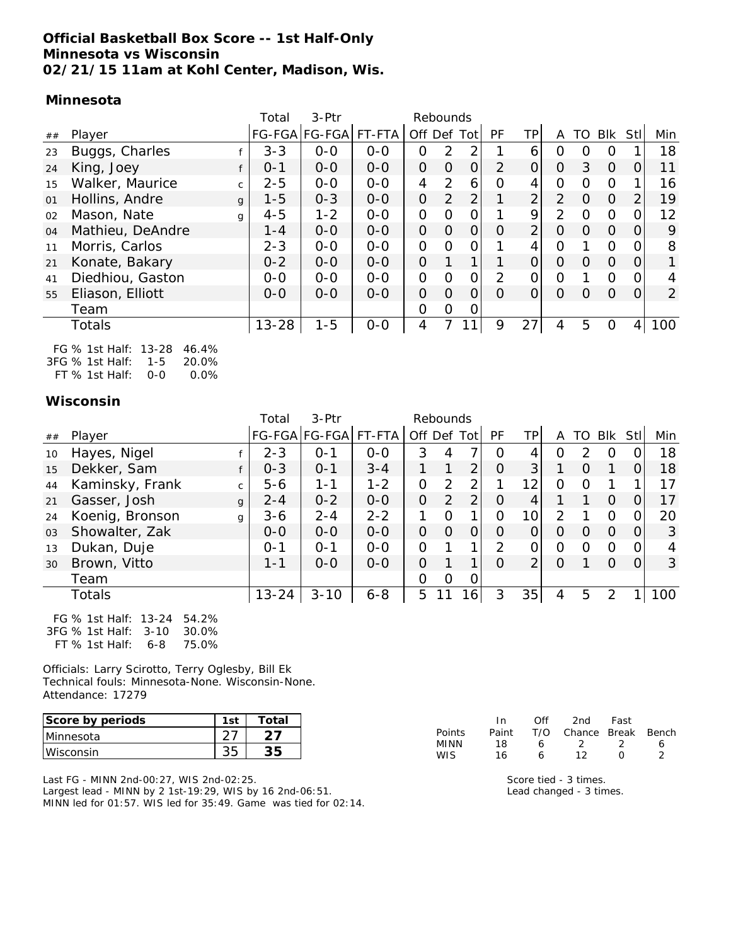### **Official Basketball Box Score -- 1st Half-Only Minnesota vs Wisconsin 02/21/15 11am at Kohl Center, Madison, Wis.**

#### **Minnesota**

|    |                                 | Total     | $3-Ptr$              |         |                | Rebounds |                |                |                |               |          |          |                |                |
|----|---------------------------------|-----------|----------------------|---------|----------------|----------|----------------|----------------|----------------|---------------|----------|----------|----------------|----------------|
| ## | Player                          |           | FG-FGA FG-FGA FT-FTA |         | Off Def Tot    |          |                | <b>PF</b>      | TPI            | A             | TO       | Blk      | <b>Stl</b>     | Min            |
| 23 | Buggs, Charles                  | $3 - 3$   | $O-O$                | $0-0$   | O              | 2        | 2              |                | 6              | O             | $\Omega$ | $\Omega$ |                | 18             |
| 24 | King, Joey                      | $0 - 1$   | $0 - 0$              | $0 - 0$ | $\Omega$       | $\Omega$ | $\overline{O}$ | $\overline{2}$ | O              | $\Omega$      | 3        | $\Omega$ | $\overline{O}$ | 11             |
| 15 | Walker, Maurice<br>$\mathsf{C}$ | $2 - 5$   | $0 - 0$              | $0 - 0$ | 4              | 2        | 6              | O              | 4              | O             | $\Omega$ | $\Omega$ |                | 16             |
| 01 | Hollins, Andre<br>$\mathbf{q}$  | $1 - 5$   | $0 - 3$              | $0 - 0$ | $\Omega$       | 2        | $\overline{2}$ |                | $\overline{2}$ | $\mathcal{P}$ | $\Omega$ | $\Omega$ | 2              | 19             |
| 02 | Mason, Nate<br>q                | $4 - 5$   | $1 - 2$              | $O-O$   | 0              | O        | 0              |                | 9              | $\mathcal{P}$ | 0        | $\Omega$ | O              | 12             |
| 04 | Mathieu, DeAndre                | $1 - 4$   | $0 - 0$              | $O-O$   | $\Omega$       | $\Omega$ | $\Omega$       | $\Omega$       | $\overline{2}$ | $\Omega$      | $\Omega$ | $\Omega$ | $\overline{O}$ | 9              |
| 11 | Morris, Carlos                  | $2 - 3$   | $0 - 0$              | $O-O$   | 0              | $\Omega$ | $\Omega$       |                | 4              | $\Omega$      |          | $\Omega$ | 0              | 8              |
| 21 | Konate, Bakary                  | $0 - 2$   | $0 - 0$              | $0 - 0$ | $\Omega$       | 1        | 1              | 1              | 0              | $\Omega$      | O        | $\Omega$ | $\Omega$       | $\mathbf{1}$   |
| 41 | Diedhiou, Gaston                | $0 - 0$   | $O-O$                | $O-O$   | 0              | $\Omega$ | O              | 2              | O              | $\Omega$      |          | $\Omega$ | $\Omega$       | 4              |
| 55 | Eliason, Elliott                | $O - O$   | $0 - 0$              | $0 - 0$ | $\Omega$       | $\Omega$ | 0              | $\Omega$       | 0              | 0             | $\Omega$ | $\Omega$ | $\Omega$       | $\overline{2}$ |
|    | Team                            |           |                      |         | $\overline{O}$ | 0        | 0              |                |                |               |          |          |                |                |
|    | Totals                          | $13 - 28$ | $1 - 5$              | $O-O$   | 4              |          | 1              | 9              | 27             | 4             | 5        | O        | 4              | 100            |
|    |                                 |           |                      |         |                |          |                |                |                |               |          |          |                |                |

FG % 1st Half: 13-28 46.4% 3FG % 1st Half: 1-5 20.0% FT % 1st Half: 0-0 0.0%

### **Wisconsin**

|    |                                                                                                               | Total     | $3-Ptr$              |         |          | Rebounds |                 |           |                 |          |               |            |                |     |
|----|---------------------------------------------------------------------------------------------------------------|-----------|----------------------|---------|----------|----------|-----------------|-----------|-----------------|----------|---------------|------------|----------------|-----|
| ## | Player                                                                                                        |           | FG-FGA FG-FGA FT-FTA |         | Off      | Def      | Tot             | <b>PF</b> | TPI             | A        | TO            | <b>BIK</b> | Stl            | Min |
| 10 | Hayes, Nigel                                                                                                  | $2 - 3$   | $0 - 1$              | $0-0$   | 3        | 4        |                 | O         | 4               | O        | $\mathcal{P}$ | O          | 0              | 18  |
| 15 | Dekker, Sam                                                                                                   | $O - 3$   | $O - 1$              | $3 - 4$ |          | 1        | 2               | $\circ$   | 3               |          | $\Omega$      |            | $\Omega$       | 18  |
| 44 | Kaminsky, Frank<br>$\mathsf{C}$                                                                               | $5 - 6$   | $1 - 1$              | $1 - 2$ | O        | 2        | 2               | 1         | 12              | $\Omega$ | $\Omega$      |            |                | 17  |
| 21 | Gasser, Josh<br>$\mathbf{q}$                                                                                  | $2 - 4$   | $0 - 2$              | $O-O$   | $\Omega$ | 2        | $\overline{2}$  | $\Omega$  | 4               |          |               | $\Omega$   | 0              | 17  |
| 24 | Koenig, Bronson<br>g                                                                                          | $3 - 6$   | $2 - 4$              | $2 - 2$ |          | $\Omega$ | 1               | O         | 10 <sub>1</sub> |          |               | O          | O              | 20  |
| 03 | Showalter, Zak                                                                                                | $0 - 0$   | $0 - 0$              | $0 - 0$ | $\Omega$ | $\Omega$ | 0               | $\Omega$  | 0               | $\Omega$ | O             | $\Omega$   | $\overline{O}$ | 3   |
| 13 | Dukan, Duje                                                                                                   | $0 - 1$   | $0 - 1$              | $O-O$   | $\Omega$ | 1        | 1               | 2         |                 | O        | $\Omega$      | $\Omega$   | O              | 4   |
| 30 | Brown, Vitto                                                                                                  | $1 - 1$   | $0 - 0$              | $O - O$ | $\Omega$ |          | 1               | $\Omega$  | 2               | $\Omega$ |               | $\Omega$   | $\Omega$       | 3   |
|    | Team                                                                                                          |           |                      |         | O        | $\Omega$ | 0               |           |                 |          |               |            |                |     |
|    | Totals                                                                                                        | $13 - 24$ | $3 - 10$             | $6 - 8$ | 5        |          | 16 <sub>1</sub> | 3         | 35              | 4        | 5             | 2          |                | 100 |
|    | $\Gamma \cap (N \cdot 1_{\Omega} + 1)_{\Omega}$ if $\Gamma \cap (N \cdot 1_{\Omega} + 1)_{\Omega}$<br>F A 201 |           |                      |         |          |          |                 |           |                 |          |               |            |                |     |

FG % 1st Half: 13-24 54.2% 3FG % 1st Half: 3-10 30.0% FT % 1st Half: 6-8 75.0%

Officials: Larry Scirotto, Terry Oglesby, Bill Ek Technical fouls: Minnesota-None. Wisconsin-None. Attendance: 17279

| Score by periods | 1 <sub>c</sub> | Total |
|------------------|----------------|-------|
| <b>Minnesota</b> |                |       |
| Wisconsin        |                |       |

Last FG - MINN 2nd-00:27, WIS 2nd-02:25. Largest lead - MINN by 2 1st-19:29, WIS by 16 2nd-06:51. MINN led for 01:57. WIS led for 35:49. Game was tied for 02:14.

|            | In.   | Off | 2nd                    | Fast    |   |
|------------|-------|-----|------------------------|---------|---|
| Points     | Paint |     | T/O Chance Break Bench |         |   |
| MINN       | 18    | 6   | $\mathcal{L}$          | $\cdot$ | 6 |
| <b>WIS</b> | 16    | 6   | 12                     | O       |   |

Score tied - 3 times. Lead changed - 3 times.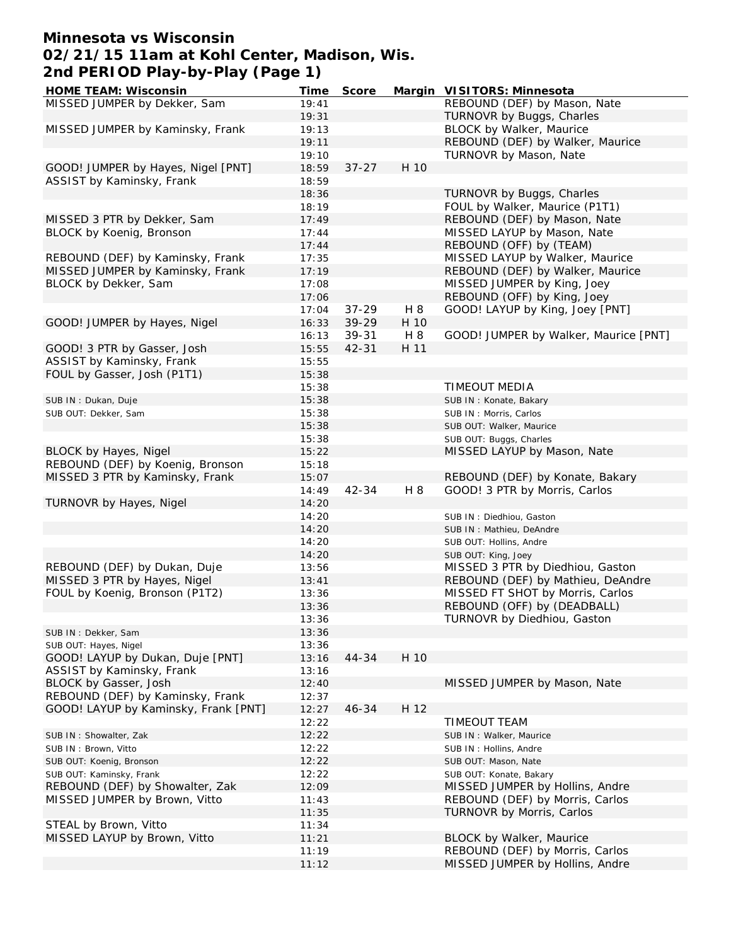## **Minnesota vs Wisconsin 02/21/15 11am at Kohl Center, Madison, Wis. 2nd PERIOD Play-by-Play (Page 1)**

| HOME TEAM: Wisconsin                 | Time  | Score     |      | Margin VISITORS: Minnesota            |
|--------------------------------------|-------|-----------|------|---------------------------------------|
| MISSED JUMPER by Dekker, Sam         | 19:41 |           |      | REBOUND (DEF) by Mason, Nate          |
|                                      | 19:31 |           |      | TURNOVR by Buggs, Charles             |
| MISSED JUMPER by Kaminsky, Frank     | 19:13 |           |      | BLOCK by Walker, Maurice              |
|                                      | 19:11 |           |      | REBOUND (DEF) by Walker, Maurice      |
|                                      | 19:10 |           |      | TURNOVR by Mason, Nate                |
| GOOD! JUMPER by Hayes, Nigel [PNT]   | 18:59 | $37 - 27$ | H 10 |                                       |
| ASSIST by Kaminsky, Frank            | 18:59 |           |      |                                       |
|                                      | 18:36 |           |      | TURNOVR by Buggs, Charles             |
|                                      | 18:19 |           |      | FOUL by Walker, Maurice (P1T1)        |
| MISSED 3 PTR by Dekker, Sam          | 17:49 |           |      | REBOUND (DEF) by Mason, Nate          |
| BLOCK by Koenig, Bronson             | 17:44 |           |      | MISSED LAYUP by Mason, Nate           |
|                                      | 17:44 |           |      | REBOUND (OFF) by (TEAM)               |
| REBOUND (DEF) by Kaminsky, Frank     | 17:35 |           |      | MISSED LAYUP by Walker, Maurice       |
| MISSED JUMPER by Kaminsky, Frank     | 17:19 |           |      | REBOUND (DEF) by Walker, Maurice      |
| BLOCK by Dekker, Sam                 | 17:08 |           |      | MISSED JUMPER by King, Joey           |
|                                      | 17:06 |           |      | REBOUND (OFF) by King, Joey           |
|                                      | 17:04 | $37 - 29$ | H 8  | GOOD! LAYUP by King, Joey [PNT]       |
| GOOD! JUMPER by Hayes, Nigel         | 16:33 | 39-29     | H 10 |                                       |
|                                      | 16:13 | 39-31     | H 8  | GOOD! JUMPER by Walker, Maurice [PNT] |
| GOOD! 3 PTR by Gasser, Josh          | 15:55 | 42-31     | H 11 |                                       |
| ASSIST by Kaminsky, Frank            | 15:55 |           |      |                                       |
| FOUL by Gasser, Josh (P1T1)          | 15:38 |           |      |                                       |
|                                      | 15:38 |           |      | TIMEOUT MEDIA                         |
| SUB IN: Dukan, Duje                  | 15:38 |           |      | SUB IN: Konate, Bakary                |
| SUB OUT: Dekker, Sam                 | 15:38 |           |      | SUB IN: Morris, Carlos                |
|                                      | 15:38 |           |      | SUB OUT: Walker, Maurice              |
|                                      | 15:38 |           |      | SUB OUT: Buggs, Charles               |
| <b>BLOCK by Hayes, Nigel</b>         | 15:22 |           |      | MISSED LAYUP by Mason, Nate           |
| REBOUND (DEF) by Koenig, Bronson     | 15:18 |           |      |                                       |
| MISSED 3 PTR by Kaminsky, Frank      | 15:07 |           |      | REBOUND (DEF) by Konate, Bakary       |
|                                      | 14:49 | 42-34     | H 8  | GOOD! 3 PTR by Morris, Carlos         |
| TURNOVR by Hayes, Nigel              | 14:20 |           |      |                                       |
|                                      | 14:20 |           |      | SUB IN: Diedhiou, Gaston              |
|                                      | 14:20 |           |      | SUB IN: Mathieu, DeAndre              |
|                                      | 14:20 |           |      | SUB OUT: Hollins, Andre               |
|                                      | 14:20 |           |      | SUB OUT: King, Joey                   |
| REBOUND (DEF) by Dukan, Duje         | 13:56 |           |      | MISSED 3 PTR by Diedhiou, Gaston      |
| MISSED 3 PTR by Hayes, Nigel         | 13:41 |           |      | REBOUND (DEF) by Mathieu, DeAndre     |
| FOUL by Koenig, Bronson (P1T2)       | 13:36 |           |      | MISSED FT SHOT by Morris, Carlos      |
|                                      | 13:36 |           |      | REBOUND (OFF) by (DEADBALL)           |
|                                      | 13:36 |           |      | TURNOVR by Diedhiou, Gaston           |
| SUB IN: Dekker, Sam                  | 13:36 |           |      |                                       |
| SUB OUT: Hayes, Nigel                | 13:36 |           |      |                                       |
| GOOD! LAYUP by Dukan, Duje [PNT]     | 13:16 | 44-34     | H 10 |                                       |
| ASSIST by Kaminsky, Frank            | 13:16 |           |      |                                       |
| BLOCK by Gasser, Josh                | 12:40 |           |      | MISSED JUMPER by Mason, Nate          |
| REBOUND (DEF) by Kaminsky, Frank     | 12:37 |           |      |                                       |
| GOOD! LAYUP by Kaminsky, Frank [PNT] | 12:27 | 46-34     | H 12 |                                       |
|                                      | 12:22 |           |      | TIMEOUT TEAM                          |
| SUB IN: Showalter, Zak               | 12:22 |           |      | SUB IN: Walker, Maurice               |
| SUB IN: Brown, Vitto                 | 12:22 |           |      | SUB IN: Hollins, Andre                |
| SUB OUT: Koenig, Bronson             | 12:22 |           |      | SUB OUT: Mason, Nate                  |
| SUB OUT: Kaminsky, Frank             | 12:22 |           |      | SUB OUT: Konate, Bakary               |
| REBOUND (DEF) by Showalter, Zak      | 12:09 |           |      | MISSED JUMPER by Hollins, Andre       |
| MISSED JUMPER by Brown, Vitto        | 11:43 |           |      | REBOUND (DEF) by Morris, Carlos       |
|                                      | 11:35 |           |      | TURNOVR by Morris, Carlos             |
| STEAL by Brown, Vitto                | 11:34 |           |      |                                       |
| MISSED LAYUP by Brown, Vitto         | 11:21 |           |      | BLOCK by Walker, Maurice              |
|                                      | 11:19 |           |      | REBOUND (DEF) by Morris, Carlos       |
|                                      | 11:12 |           |      | MISSED JUMPER by Hollins, Andre       |
|                                      |       |           |      |                                       |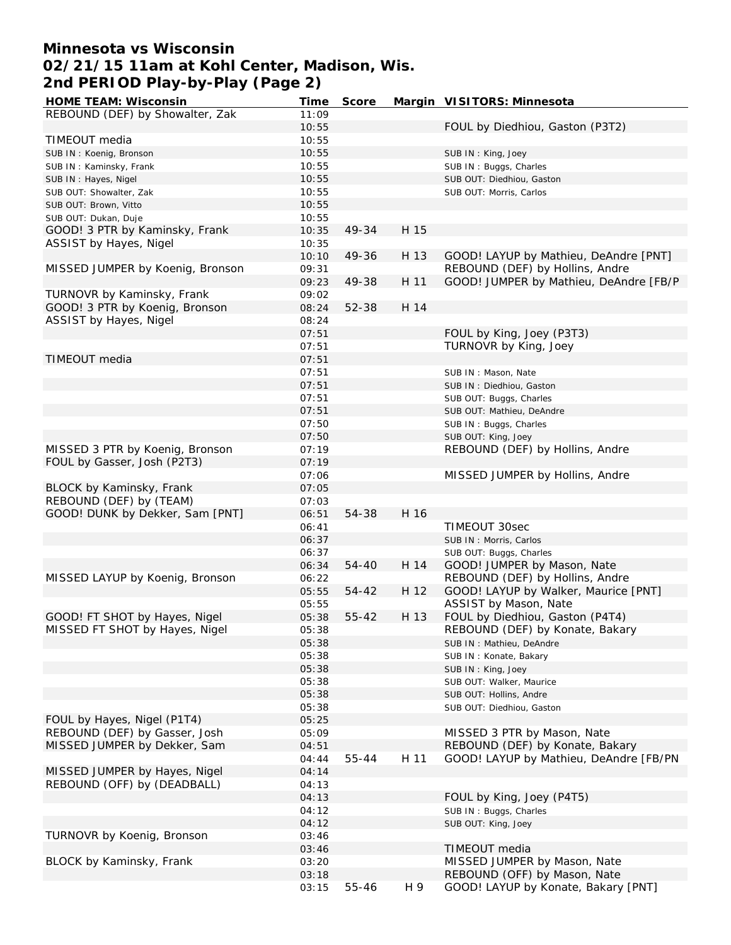## **Minnesota vs Wisconsin 02/21/15 11am at Kohl Center, Madison, Wis. 2nd PERIOD Play-by-Play (Page 2)**

| HOME TEAM: Wisconsin             | Time  | Score     |      | Margin VISITORS: Minnesota             |
|----------------------------------|-------|-----------|------|----------------------------------------|
| REBOUND (DEF) by Showalter, Zak  | 11:09 |           |      |                                        |
|                                  | 10:55 |           |      | FOUL by Diedhiou, Gaston (P3T2)        |
| TIMEOUT media                    | 10:55 |           |      |                                        |
| SUB IN: Koenig, Bronson          | 10:55 |           |      | SUB IN: King, Joey                     |
| SUB IN: Kaminsky, Frank          | 10:55 |           |      | SUB IN: Buggs, Charles                 |
| SUB IN: Hayes, Nigel             | 10:55 |           |      | SUB OUT: Diedhiou, Gaston              |
| SUB OUT: Showalter, Zak          | 10:55 |           |      | SUB OUT: Morris, Carlos                |
| SUB OUT: Brown, Vitto            | 10:55 |           |      |                                        |
| SUB OUT: Dukan, Duje             | 10:55 |           |      |                                        |
| GOOD! 3 PTR by Kaminsky, Frank   | 10:35 | 49-34     | H 15 |                                        |
| ASSIST by Hayes, Nigel           | 10:35 |           |      |                                        |
|                                  | 10:10 | 49-36     | H 13 | GOOD! LAYUP by Mathieu, DeAndre [PNT]  |
| MISSED JUMPER by Koenig, Bronson | 09:31 |           |      | REBOUND (DEF) by Hollins, Andre        |
|                                  | 09:23 | 49-38     | H 11 | GOOD! JUMPER by Mathieu, DeAndre [FB/P |
| TURNOVR by Kaminsky, Frank       | 09:02 |           |      |                                        |
| GOOD! 3 PTR by Koenig, Bronson   | 08:24 | 52-38     | H 14 |                                        |
|                                  | 08:24 |           |      |                                        |
| ASSIST by Hayes, Nigel           |       |           |      |                                        |
|                                  | 07:51 |           |      | FOUL by King, Joey (P3T3)              |
|                                  | 07:51 |           |      | TURNOVR by King, Joey                  |
| TIMEOUT media                    | 07:51 |           |      |                                        |
|                                  | 07:51 |           |      | SUB IN: Mason, Nate                    |
|                                  | 07:51 |           |      | SUB IN: Diedhiou, Gaston               |
|                                  | 07:51 |           |      | SUB OUT: Buggs, Charles                |
|                                  | 07:51 |           |      | SUB OUT: Mathieu, DeAndre              |
|                                  | 07:50 |           |      | SUB IN: Buggs, Charles                 |
|                                  | 07:50 |           |      | SUB OUT: King, Joey                    |
| MISSED 3 PTR by Koenig, Bronson  | 07:19 |           |      | REBOUND (DEF) by Hollins, Andre        |
| FOUL by Gasser, Josh (P2T3)      | 07:19 |           |      |                                        |
|                                  | 07:06 |           |      | MISSED JUMPER by Hollins, Andre        |
| BLOCK by Kaminsky, Frank         | 07:05 |           |      |                                        |
| REBOUND (DEF) by (TEAM)          | 07:03 |           |      |                                        |
| GOOD! DUNK by Dekker, Sam [PNT]  | 06:51 | 54-38     | H 16 |                                        |
|                                  | 06:41 |           |      | TIMEOUT 30sec                          |
|                                  | 06:37 |           |      | SUB IN: Morris, Carlos                 |
|                                  | 06:37 |           |      | SUB OUT: Buggs, Charles                |
|                                  | 06:34 | 54-40     | H 14 | GOOD! JUMPER by Mason, Nate            |
| MISSED LAYUP by Koenig, Bronson  | 06:22 |           |      | REBOUND (DEF) by Hollins, Andre        |
|                                  | 05:55 | 54-42     | H 12 | GOOD! LAYUP by Walker, Maurice [PNT]   |
|                                  | 05:55 |           |      | ASSIST by Mason, Nate                  |
| GOOD! FT SHOT by Hayes, Nigel    | 05:38 | $55 - 42$ | H 13 | FOUL by Diedhiou, Gaston (P4T4)        |
| MISSED FT SHOT by Hayes, Nigel   | 05:38 |           |      | REBOUND (DEF) by Konate, Bakary        |
|                                  | 05:38 |           |      | SUB IN: Mathieu, DeAndre               |
|                                  | 05:38 |           |      | SUB IN: Konate, Bakary                 |
|                                  | 05:38 |           |      | SUB IN: King, Joey                     |
|                                  | 05:38 |           |      | SUB OUT: Walker, Maurice               |
|                                  | 05:38 |           |      | SUB OUT: Hollins, Andre                |
|                                  | 05:38 |           |      | SUB OUT: Diedhiou, Gaston              |
| FOUL by Hayes, Nigel (P1T4)      | 05:25 |           |      |                                        |
| REBOUND (DEF) by Gasser, Josh    | 05:09 |           |      | MISSED 3 PTR by Mason, Nate            |
| MISSED JUMPER by Dekker, Sam     | 04:51 |           |      | REBOUND (DEF) by Konate, Bakary        |
|                                  | 04:44 | 55-44     | H 11 | GOOD! LAYUP by Mathieu, DeAndre [FB/PN |
| MISSED JUMPER by Hayes, Nigel    | 04:14 |           |      |                                        |
| REBOUND (OFF) by (DEADBALL)      | 04:13 |           |      |                                        |
|                                  | 04:13 |           |      | FOUL by King, Joey (P4T5)              |
|                                  |       |           |      |                                        |
|                                  | 04:12 |           |      | SUB IN: Buggs, Charles                 |
| TURNOVR by Koenig, Bronson       | 04:12 |           |      | SUB OUT: King, Joey                    |
|                                  | 03:46 |           |      |                                        |
|                                  | 03:46 |           |      | TIMEOUT media                          |
| BLOCK by Kaminsky, Frank         | 03:20 |           |      | MISSED JUMPER by Mason, Nate           |
|                                  | 03:18 |           |      | REBOUND (OFF) by Mason, Nate           |
|                                  | 03:15 | 55-46     | H 9  | GOOD! LAYUP by Konate, Bakary [PNT]    |